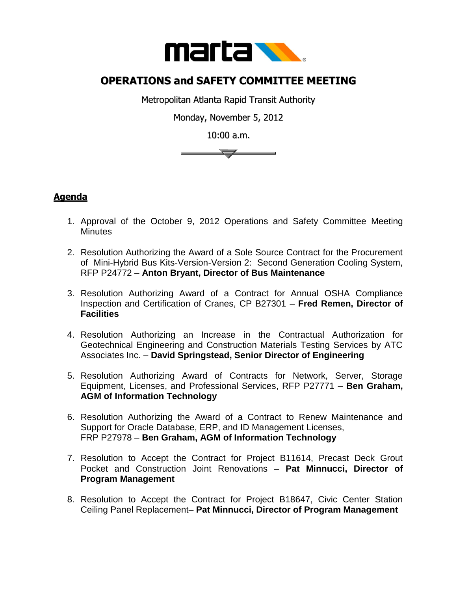

## **OPERATIONS and SAFETY COMMITTEE MEETING**

Metropolitan Atlanta Rapid Transit Authority

Monday, November 5, 2012

10:00 a.m.

 $\overline{\phantom{a}}$ 

## **Agenda**

- 1. Approval of the October 9, 2012 Operations and Safety Committee Meeting **Minutes**
- 2. Resolution Authorizing the Award of a Sole Source Contract for the Procurement of Mini-Hybrid Bus Kits-Version-Version 2: Second Generation Cooling System, RFP P24772 – **Anton Bryant, Director of Bus Maintenance**
- 3. Resolution Authorizing Award of a Contract for Annual OSHA Compliance Inspection and Certification of Cranes, CP B27301 – **Fred Remen, Director of Facilities**
- 4. Resolution Authorizing an Increase in the Contractual Authorization for Geotechnical Engineering and Construction Materials Testing Services by ATC Associates Inc. – **David Springstead, Senior Director of Engineering**
- 5. Resolution Authorizing Award of Contracts for Network, Server, Storage Equipment, Licenses, and Professional Services, RFP P27771 – **Ben Graham, AGM of Information Technology**
- 6. Resolution Authorizing the Award of a Contract to Renew Maintenance and Support for Oracle Database, ERP, and ID Management Licenses, FRP P27978 – **Ben Graham, AGM of Information Technology**
- 7. Resolution to Accept the Contract for Project B11614, Precast Deck Grout Pocket and Construction Joint Renovations – **Pat Minnucci, Director of Program Management**
- 8. Resolution to Accept the Contract for Project B18647, Civic Center Station Ceiling Panel Replacement– **Pat Minnucci, Director of Program Management**